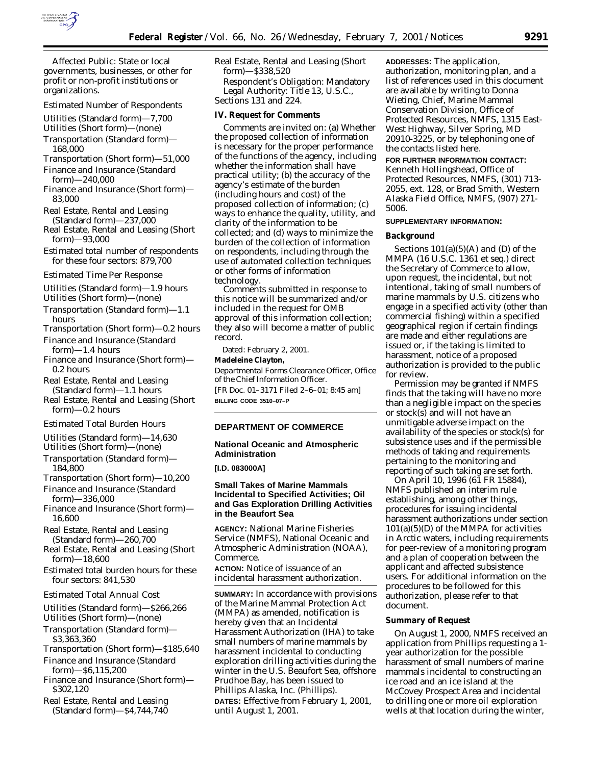

*Affected Public:* State or local governments, businesses, or other for profit or non-profit institutions or organizations.

#### *Estimated Number of Respondents*

Utilities (Standard form)—7,700

Utilities (Short form)—(none)

- Transportation (Standard form)— 168,000
- Transportation (Short form)—51,000 Finance and Insurance (Standard
- form)—240,000 Finance and Insurance (Short form)—
- 83,000
- Real Estate, Rental and Leasing (Standard form)—237,000
- Real Estate, Rental and Leasing (Short form)—93,000
- Estimated total number of respondents for these four sectors: 879,700

#### *Estimated Time Per Response*

Utilities (Standard form)—1.9 hours Utilities (Short form)—(none)

- Transportation (Standard form)—1.1 hours
- Transportation (Short form)—0.2 hours
- Finance and Insurance (Standard form)—1.4 hours
- Finance and Insurance (Short form)— 0.2 hours

Real Estate, Rental and Leasing (Standard form)—1.1 hours

Real Estate, Rental and Leasing (Short form)—0.2 hours

### *Estimated Total Burden Hours*

Utilities (Standard form)—14,630

Utilities (Short form)—(none)

- Transportation (Standard form)— 184,800
- Transportation (Short form)—10,200
- Finance and Insurance (Standard form)—336,000
- Finance and Insurance (Short form)— 16,600

Real Estate, Rental and Leasing (Standard form)—260,700

- Real Estate, Rental and Leasing (Short form)—18,600
- Estimated total burden hours for these four sectors: 841,530

## *Estimated Total Annual Cost*

Utilities (Standard form)—\$266,266 Utilities (Short form)—(none)

- Transportation (Standard form)— \$3,363,360
- Transportation (Short form)—\$185,640
- Finance and Insurance (Standard form)—\$6,115,200
- Finance and Insurance (Short form)— \$302,120
- Real Estate, Rental and Leasing (Standard form)—\$4,744,740

Real Estate, Rental and Leasing (Short form)—\$338,520 *Respondent's Obligation:* Mandatory

*Legal Authority:* Title 13, U.S.C., Sections 131 and 224.

## **IV. Request for Comments**

Comments are invited on: (a) Whether the proposed collection of information is necessary for the proper performance of the functions of the agency, including whether the information shall have practical utility; (b) the accuracy of the agency's estimate of the burden (including hours and cost) of the proposed collection of information; (c) ways to enhance the quality, utility, and clarity of the information to be collected; and (d) ways to minimize the burden of the collection of information on respondents, including through the use of automated collection techniques or other forms of information technology.

Comments submitted in response to this notice will be summarized and/or included in the request for OMB approval of this information collection; they also will become a matter of public record.

Dated: February 2, 2001.

## **Madeleine Clayton,**

*Departmental Forms Clearance Officer, Office of the Chief Information Officer.* [FR Doc. 01–3171 Filed 2–6–01; 8:45 am] **BILLING CODE 3510–07–P**

#### **DEPARTMENT OF COMMERCE**

## **National Oceanic and Atmospheric Administration**

**[I.D. 083000A]**

## **Small Takes of Marine Mammals Incidental to Specified Activities; Oil and Gas Exploration Drilling Activities in the Beaufort Sea**

**AGENCY:** National Marine Fisheries Service (NMFS), National Oceanic and Atmospheric Administration (NOAA), Commerce.

**ACTION:** Notice of issuance of an incidental harassment authorization.

**SUMMARY:** In accordance with provisions of the Marine Mammal Protection Act (MMPA) as amended, notification is hereby given that an Incidental Harassment Authorization (IHA) to take small numbers of marine mammals by harassment incidental to conducting exploration drilling activities during the winter in the U.S. Beaufort Sea, offshore Prudhoe Bay, has been issued to Phillips Alaska, Inc. (Phillips). **DATES:** Effective from February 1, 2001, until August 1, 2001.

**ADDRESSES:** The application, authorization, monitoring plan, and a list of references used in this document are available by writing to Donna Wieting, Chief, Marine Mammal Conservation Division, Office of Protected Resources, NMFS, 1315 East-West Highway, Silver Spring, MD 20910-3225, or by telephoning one of the contacts listed here.

**FOR FURTHER INFORMATION CONTACT:** Kenneth Hollingshead, Office of Protected Resources, NMFS, (301) 713- 2055, ext. 128, or Brad Smith, Western Alaska Field Office, NMFS, (907) 271- 5006.

## **SUPPLEMENTARY INFORMATION:**

#### **Background**

Sections  $101(a)(5)(A)$  and (D) of the MMPA (16 U.S.C. 1361 *et seq*.) direct the Secretary of Commerce to allow, upon request, the incidental, but not intentional, taking of small numbers of marine mammals by U.S. citizens who engage in a specified activity (other than commercial fishing) within a specified geographical region if certain findings are made and either regulations are issued or, if the taking is limited to harassment, notice of a proposed authorization is provided to the public for review.

Permission may be granted if NMFS finds that the taking will have no more than a negligible impact on the species or stock(s) and will not have an unmitigable adverse impact on the availability of the species or stock(s) for subsistence uses and if the permissible methods of taking and requirements pertaining to the monitoring and reporting of such taking are set forth.

On April 10, 1996 (61 FR 15884), NMFS published an interim rule establishing, among other things, procedures for issuing incidental harassment authorizations under section  $101(a)(5)(D)$  of the MMPA for activities in Arctic waters, including requirements for peer-review of a monitoring program and a plan of cooperation between the applicant and affected subsistence users. For additional information on the procedures to be followed for this authorization, please refer to that document.

### **Summary of Request**

On August 1, 2000, NMFS received an application from Phillips requesting a 1 year authorization for the possible harassment of small numbers of marine mammals incidental to constructing an ice road and an ice island at the McCovey Prospect Area and incidental to drilling one or more oil exploration wells at that location during the winter,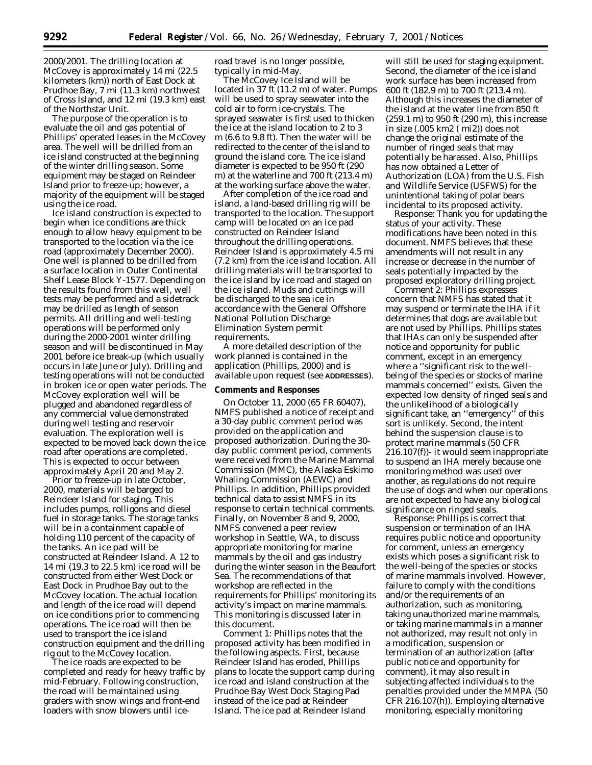2000/2001. The drilling location at McCovey is approximately 14 mi (22.5 kilometers (km)) north of East Dock at Prudhoe Bay, 7 mi (11.3 km) northwest of Cross Island, and 12 mi (19.3 km) east of the Northstar Unit.

The purpose of the operation is to evaluate the oil and gas potential of Phillips' operated leases in the McCovey area. The well will be drilled from an ice island constructed at the beginning of the winter drilling season. Some equipment may be staged on Reindeer Island prior to freeze-up; however, a majority of the equipment will be staged using the ice road.

Ice island construction is expected to begin when ice conditions are thick enough to allow heavy equipment to be transported to the location via the ice road (approximately December 2000). One well is planned to be drilled from a surface location in Outer Continental Shelf Lease Block Y-1577. Depending on the results found from this well, well tests may be performed and a sidetrack may be drilled as length of season permits. All drilling and well-testing operations will be performed only during the 2000-2001 winter drilling season and will be discontinued in May 2001 before ice break-up (which usually occurs in late June or July). Drilling and testing operations will not be conducted in broken ice or open water periods. The McCovey exploration well will be plugged and abandoned regardless of any commercial value demonstrated during well testing and reservoir evaluation. The exploration well is expected to be moved back down the ice road after operations are completed. This is expected to occur between approximately April 20 and May 2.

Prior to freeze-up in late October, 2000, materials will be barged to Reindeer Island for staging. This includes pumps, rolligons and diesel fuel in storage tanks. The storage tanks will be in a containment capable of holding 110 percent of the capacity of the tanks. An ice pad will be constructed at Reindeer Island. A 12 to 14 mi (19.3 to 22.5 km) ice road will be constructed from either West Dock or East Dock in Prudhoe Bay out to the McCovey location. The actual location and length of the ice road will depend on ice conditions prior to commencing operations. The ice road will then be used to transport the ice island construction equipment and the drilling rig out to the McCovey location.

The ice roads are expected to be completed and ready for heavy traffic by mid-February. Following construction, the road will be maintained using graders with snow wings and front-end loaders with snow blowers until iceroad travel is no longer possible, typically in mid-May.

The McCovey Ice Island will be located in 37 ft (11.2 m) of water. Pumps will be used to spray seawater into the cold air to form ice-crystals. The sprayed seawater is first used to thicken the ice at the island location to 2 to 3 m (6.6 to 9.8 ft). Then the water will be redirected to the center of the island to ground the island core. The ice island diameter is expected to be 950 ft (290 m) at the waterline and 700 ft (213.4 m) at the working surface above the water.

After completion of the ice road and island, a land-based drilling rig will be transported to the location. The support camp will be located on an ice pad constructed on Reindeer Island throughout the drilling operations. Reindeer Island is approximately 4.5 mi (7.2 km) from the ice island location. All drilling materials will be transported to the ice island by ice road and staged on the ice island. Muds and cuttings will be discharged to the sea ice in accordance with the General Offshore National Pollution Discharge Elimination System permit requirements.

A more detailed description of the work planned is contained in the application (Phillips, 2000) and is available upon request (see **ADDRESSES**).

### **Comments and Responses**

On October 11, 2000 (65 FR 60407), NMFS published a notice of receipt and a 30-day public comment period was provided on the application and proposed authorization. During the 30 day public comment period, comments were received from the Marine Mammal Commission (MMC), the Alaska Eskimo Whaling Commission (AEWC) and Phillips. In addition, Phillips provided technical data to assist NMFS in its response to certain technical comments. Finally, on November 8 and 9, 2000, NMFS convened a peer review workshop in Seattle, WA, to discuss appropriate monitoring for marine mammals by the oil and gas industry during the winter season in the Beaufort Sea. The recommendations of that workshop are reflected in the requirements for Phillips' monitoring its activity's impact on marine mammals. This monitoring is discussed later in this document.

*Comment 1*: Phillips notes that the proposed activity has been modified in the following aspects. First, because Reindeer Island has eroded, Phillips plans to locate the support camp during ice road and island construction at the Prudhoe Bay West Dock Staging Pad instead of the ice pad at Reindeer Island. The ice pad at Reindeer Island

will still be used for staging equipment. Second, the diameter of the ice island work surface has been increased from 600 ft (182.9 m) to 700 ft (213.4 m). Although this increases the diameter of the island at the water line from 850 ft (259.1 m) to 950 ft (290 m), this increase in size (.005 km2 ( mi2)) does not change the original estimate of the number of ringed seals that may potentially be harassed. Also, Phillips has now obtained a Letter of Authorization (LOA) from the U.S. Fish and Wildlife Service (USFWS) for the unintentional taking of polar bears incidental to its proposed activity.

*Response*: Thank you for updating the status of your activity. These modifications have been noted in this document. NMFS believes that these amendments will not result in any increase or decrease in the number of seals potentially impacted by the proposed exploratory drilling project.

*Comment 2*: Phillips expresses concern that NMFS has stated that it may suspend or terminate the IHA if it determines that dogs are available but are not used by Phillips. Phillips states that IHAs can only be suspended after notice and opportunity for public comment, except in an emergency where a ''significant risk to the wellbeing of the species or stocks of marine mammals concerned'' exists. Given the expected low density of ringed seals and the unlikelihood of a biologically significant take, an ''emergency'' of this sort is unlikely. Second, the intent behind the suspension clause is to protect marine mammals (50 CFR 216.107(f))- it would seem inappropriate to suspend an IHA merely because one monitoring method was used over another, as regulations do not require the use of dogs and when our operations are not expected to have any biological significance on ringed seals.

*Response*: Phillips is correct that suspension or termination of an IHA requires public notice and opportunity for comment, unless an emergency exists which poses a significant risk to the well-being of the species or stocks of marine mammals involved. However, failure to comply with the conditions and/or the requirements of an authorization, such as monitoring, taking unauthorized marine mammals, or taking marine mammals in a manner not authorized, may result not only in a modification, suspension or termination of an authorization (after public notice and opportunity for comment), it may also result in subjecting affected individuals to the penalties provided under the MMPA (50 CFR 216.107(h)). Employing alternative monitoring, especially monitoring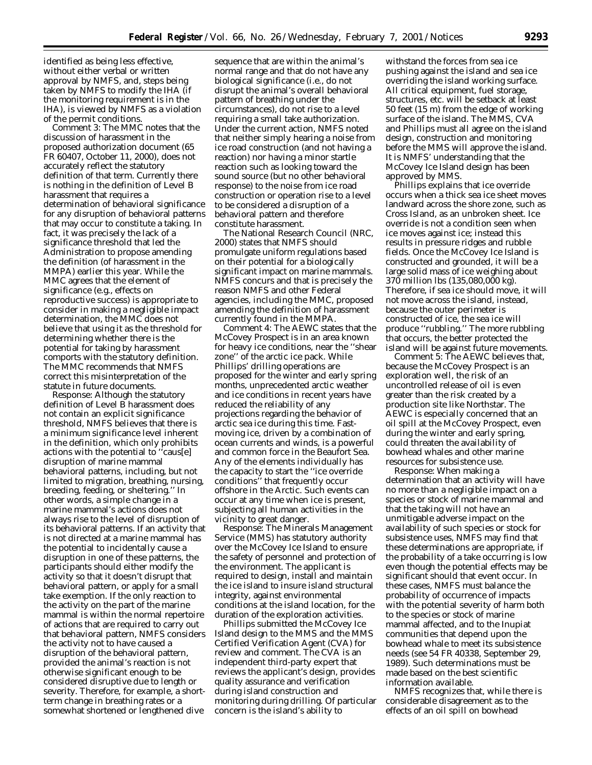identified as being less effective, without either verbal or written approval by NMFS, and, steps being taken by NMFS to modify the IHA (if the monitoring requirement is in the IHA), is viewed by NMFS as a violation of the permit conditions.

*Comment 3*: The MMC notes that the discussion of harassment in the proposed authorization document (65 FR 60407, October 11, 2000), does not accurately reflect the statutory definition of that term. Currently there is nothing in the definition of Level B harassment that requires a determination of behavioral significance for any disruption of behavioral patterns that may occur to constitute a taking. In fact, it was precisely the lack of a significance threshold that led the Administration to propose amending the definition (of harassment in the MMPA) earlier this year. While the MMC agrees that the element of significance (e.g., effects on reproductive success) is appropriate to consider in making a negligible impact determination, the MMC does not believe that using it as the threshold for determining whether there is the potential for taking by harassment comports with the statutory definition. The MMC recommends that NMFS correct this misinterpretation of the statute in future documents.

*Response*: Although the statutory definition of Level B harassment does not contain an explicit significance threshold, NMFS believes that there is a minimum significance level inherent in the definition, which only prohibits actions with the potential to ''caus[e] disruption of marine mammal behavioral patterns, including, but not limited to migration, breathing, nursing, breeding, feeding, or sheltering.'' In other words, a simple change in a marine mammal's actions does not always rise to the level of disruption of its behavioral patterns. If an activity that is not directed at a marine mammal has the potential to incidentally cause a disruption in one of these patterns, the participants should either modify the activity so that it doesn't disrupt that behavioral pattern, or apply for a small take exemption. If the only reaction to the activity on the part of the marine mammal is within the normal repertoire of actions that are required to carry out that behavioral pattern, NMFS considers the activity not to have caused a disruption of the behavioral pattern, provided the animal's reaction is not otherwise significant enough to be considered disruptive due to length or severity. Therefore, for example, a shortterm change in breathing rates or a somewhat shortened or lengthened dive

sequence that are within the animal's normal range and that do not have any biological significance (i.e., do not disrupt the animal's overall behavioral pattern of breathing under the circumstances), do not rise to a level requiring a small take authorization. Under the current action, NMFS noted that neither simply hearing a noise from ice road construction (and not having a reaction) nor having a minor startle reaction such as looking toward the sound source (but no other behavioral response) to the noise from ice road construction or operation rise to a level to be considered a disruption of a behavioral pattern and therefore constitute harassment.

The National Research Council (NRC, 2000) states that NMFS should promulgate uniform regulations based on their potential for a biologically significant impact on marine mammals. NMFS concurs and that is precisely the reason NMFS and other Federal agencies, including the MMC, proposed amending the definition of harassment currently found in the MMPA.

*Comment 4*: The AEWC states that the McCovey Prospect is in an area known for heavy ice conditions, near the ''shear zone'' of the arctic ice pack. While Phillips' drilling operations are proposed for the winter and early spring months, unprecedented arctic weather and ice conditions in recent years have reduced the reliability of any projections regarding the behavior of arctic sea ice during this time. Fastmoving ice, driven by a combination of ocean currents and winds, is a powerful and common force in the Beaufort Sea. Any of the elements individually has the capacity to start the ''ice override conditions'' that frequently occur offshore in the Arctic. Such events can occur at any time when ice is present, subjecting all human activities in the vicinity to great danger.

*Response*: The Minerals Management Service (MMS) has statutory authority over the McCovey Ice Island to ensure the safety of personnel and protection of the environment. The applicant is required to design, install and maintain the ice island to insure island structural integrity, against environmental conditions at the island location, for the duration of the exploration activities.

Phillips submitted the McCovey Ice Island design to the MMS and the MMS Certified Verification Agent (CVA) for review and comment. The CVA is an independent third-party expert that reviews the applicant's design, provides quality assurance and verification during island construction and monitoring during drilling. Of particular concern is the island's ability to

withstand the forces from sea ice pushing against the island and sea ice overriding the island working surface. All critical equipment, fuel storage, structures, etc. will be setback at least 50 feet (15 m) from the edge of working surface of the island. The MMS, CVA and Phillips must all agree on the island design, construction and monitoring before the MMS will approve the island. It is NMFS' understanding that the McCovey Ice Island design has been approved by MMS.

Phillips explains that ice override occurs when a thick sea ice sheet moves landward across the shore zone, such as Cross Island, as an unbroken sheet. Ice override is not a condition seen when ice moves against ice; instead this results in pressure ridges and rubble fields. Once the McCovey Ice Island is constructed and grounded, it will be a large solid mass of ice weighing about 370 million lbs (135,080,000 kg). Therefore, if sea ice should move, it will not move across the island, instead, because the outer perimeter is constructed of ice, the sea ice will produce ''rubbling.'' The more rubbling that occurs, the better protected the island will be against future movements.

*Comment 5*: The AEWC believes that, because the McCovey Prospect is an exploration well, the risk of an uncontrolled release of oil is even greater than the risk created by a production site like Northstar. The AEWC is especially concerned that an oil spill at the McCovey Prospect, even during the winter and early spring, could threaten the availability of bowhead whales and other marine resources for subsistence use.

*Response*: When making a determination that an activity will have no more than a negligible impact on a species or stock of marine mammal and that the taking will not have an unmitigable adverse impact on the availability of such species or stock for subsistence uses, NMFS may find that these determinations are appropriate, if the probability of a take occurring is low even though the potential effects may be significant should that event occur. In these cases, NMFS must balance the probability of occurrence of impacts with the potential severity of harm both to the species or stock of marine mammal affected, and to the Inupiat communities that depend upon the bowhead whale to meet its subsistence needs (see 54 FR 40338, September 29, 1989). Such determinations must be made based on the best scientific information available.

NMFS recognizes that, while there is considerable disagreement as to the effects of an oil spill on bowhead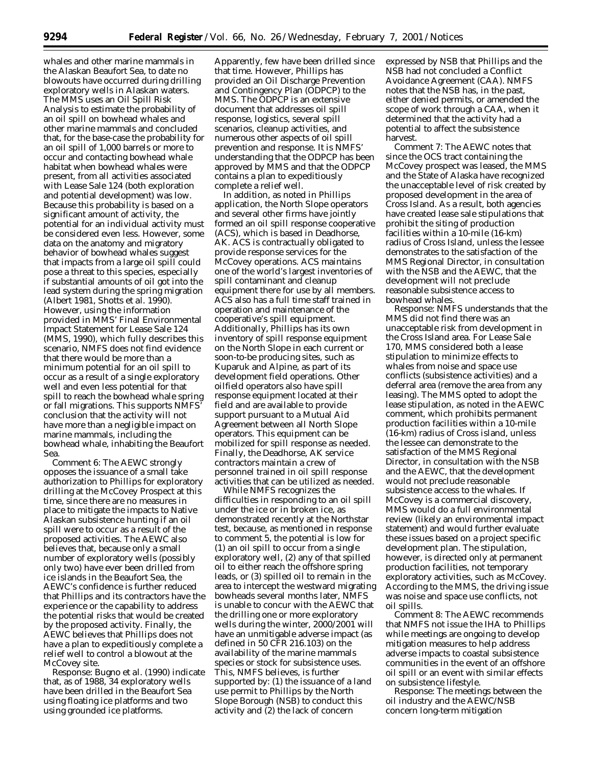whales and other marine mammals in the Alaskan Beaufort Sea, to date no blowouts have occurred during drilling exploratory wells in Alaskan waters. The MMS uses an Oil Spill Risk Analysis to estimate the probability of an oil spill on bowhead whales and other marine mammals and concluded that, for the base-case the probability for an oil spill of 1,000 barrels or more to occur and contacting bowhead whale habitat when bowhead whales were present, from all activities associated with Lease Sale 124 (both exploration and potential development) was low. Because this probability is based on a significant amount of activity, the potential for an individual activity must be considered even less. However, some data on the anatomy and migratory behavior of bowhead whales suggest that impacts from a large oil spill could pose a threat to this species, especially if substantial amounts of oil got into the lead system during the spring migration (Albert 1981, Shotts *et al*. 1990). However, using the information provided in MMS' Final Environmental Impact Statement for Lease Sale 124 (MMS, 1990), which fully describes this scenario, NMFS does not find evidence that there would be more than a minimum potential for an oil spill to occur as a result of a single exploratory well and even less potential for that spill to reach the bowhead whale spring or fall migrations. This supports NMFS' conclusion that the activity will not have more than a negligible impact on marine mammals, including the bowhead whale, inhabiting the Beaufort Sea.

*Comment 6*: The AEWC strongly opposes the issuance of a small take authorization to Phillips for exploratory drilling at the McCovey Prospect at this time, since there are no measures in place to mitigate the impacts to Native Alaskan subsistence hunting if an oil spill were to occur as a result of the proposed activities. The AEWC also believes that, because only a small number of exploratory wells (possibly only two) have ever been drilled from ice islands in the Beaufort Sea, the AEWC's confidence is further reduced that Phillips and its contractors have the experience or the capability to address the potential risks that would be created by the proposed activity. Finally, the AEWC believes that Phillips does not have a plan to expeditiously complete a relief well to control a blowout at the McCovey site.

*Response*: Bugno *et al*. (1990) indicate that, as of 1988, 34 exploratory wells have been drilled in the Beaufort Sea using floating ice platforms and two using grounded ice platforms.

Apparently, few have been drilled since that time. However, Phillips has provided an Oil Discharge Prevention and Contingency Plan (ODPCP) to the MMS. The ODPCP is an extensive document that addresses oil spill response, logistics, several spill scenarios, cleanup activities, and numerous other aspects of oil spill prevention and response. It is NMFS' understanding that the ODPCP has been approved by MMS and that the ODPCP contains a plan to expeditiously complete a relief well.

In addition, as noted in Phillips application, the North Slope operators and several other firms have jointly formed an oil spill response cooperative (ACS), which is based in Deadhorse, AK. ACS is contractually obligated to provide response services for the McCovey operations. ACS maintains one of the world's largest inventories of spill contaminant and cleanup equipment there for use by all members. ACS also has a full time staff trained in operation and maintenance of the cooperative's spill equipment. Additionally, Phillips has its own inventory of spill response equipment on the North Slope in each current or soon-to-be producing sites, such as Kuparuk and Alpine, as part of its development field operations. Other oilfield operators also have spill response equipment located at their field and are available to provide support pursuant to a Mutual Aid Agreement between all North Slope operators. This equipment can be mobilized for spill response as needed. Finally, the Deadhorse, AK service contractors maintain a crew of personnel trained in oil spill response activities that can be utilized as needed.

While NMFS recognizes the difficulties in responding to an oil spill under the ice or in broken ice, as demonstrated recently at the Northstar test, because, as mentioned in response to comment 5, the potential is low for (1) an oil spill to occur from a single exploratory well, (2) any of that spilled oil to either reach the offshore spring leads, or (3) spilled oil to remain in the area to intercept the westward migrating bowheads several months later, NMFS is unable to concur with the AEWC that the drilling one or more exploratory wells during the winter, 2000/2001 will have an unmitigable adverse impact (as defined in 50 CFR 216.103) on the availability of the marine mammals species or stock for subsistence uses. This, NMFS believes, is further supported by: (1) the issuance of a land use permit to Phillips by the North Slope Borough (NSB) to conduct this activity and (2) the lack of concern

expressed by NSB that Phillips and the NSB had not concluded a Conflict Avoidance Agreement (CAA). NMFS notes that the NSB has, in the past, either denied permits, or amended the scope of work through a CAA, when it determined that the activity had a potential to affect the subsistence harvest.

*Comment 7*: The AEWC notes that since the OCS tract containing the McCovey prospect was leased, the MMS and the State of Alaska have recognized the unacceptable level of risk created by proposed development in the area of Cross Island. As a result, both agencies have created lease sale stipulations that prohibit the siting of production facilities within a 10-mile (16-km) radius of Cross Island, unless the lessee demonstrates to the satisfaction of the MMS Regional Director, in consultation with the NSB and the AEWC, that the development will not preclude reasonable subsistence access to bowhead whales.

*Response*: NMFS understands that the MMS did not find there was an unacceptable risk from development in the Cross Island area. For Lease Sale 170, MMS considered both a lease stipulation to minimize effects to whales from noise and space use conflicts (subsistence activities) and a deferral area (remove the area from any leasing). The MMS opted to adopt the lease stipulation, as noted in the AEWC comment, which prohibits permanent production facilities within a 10-mile (16-km) radius of Cross island, unless the lessee can demonstrate to the satisfaction of the MMS Regional Director, in consultation with the NSB and the AEWC, that the development would not preclude reasonable subsistence access to the whales. If McCovey is a commercial discovery, MMS would do a full environmental review (likely an environmental impact statement) and would further evaluate these issues based on a project specific development plan. The stipulation, however, is directed only at permanent production facilities, not temporary exploratory activities, such as McCovey. According to the MMS, the driving issue was noise and space use conflicts, not oil spills.

*Comment 8*: The AEWC recommends that NMFS not issue the IHA to Phillips while meetings are ongoing to develop mitigation measures to help address adverse impacts to coastal subsistence communities in the event of an offshore oil spill or an event with similar effects on subsistence lifestyle.

*Response*: The meetings between the oil industry and the AEWC/NSB concern long-term mitigation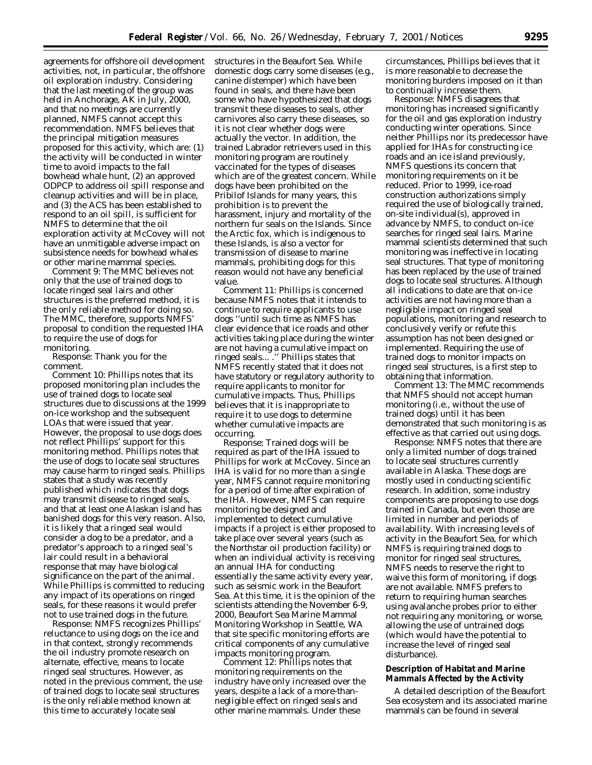agreements for offshore oil development activities, not, in particular, the offshore oil exploration industry. Considering that the last meeting of the group was held in Anchorage, AK in July, 2000, and that no meetings are currently planned, NMFS cannot accept this recommendation. NMFS believes that the principal mitigation measures proposed for this activity, which are: (1) the activity will be conducted in winter time to avoid impacts to the fall bowhead whale hunt, (2) an approved ODPCP to address oil spill response and cleanup activities and will be in place, and (3) the ACS has been established to respond to an oil spill, is sufficient for NMFS to determine that the oil exploration activity at McCovey will not have an unmitigable adverse impact on subsistence needs for bowhead whales or other marine mammal species.

*Comment 9*: The MMC believes not only that the use of trained dogs to locate ringed seal lairs and other structures is the preferred method, it is the only reliable method for doing so. The MMC, therefore, supports NMFS' proposal to condition the requested IHA to require the use of dogs for monitoring.

*Response*: Thank you for the comment.

*Comment 10*: Phillips notes that its proposed monitoring plan includes the use of trained dogs to locate seal structures due to discussions at the 1999 on-ice workshop and the subsequent LOAs that were issued that year. However, the proposal to use dogs does not reflect Phillips' support for this monitoring method. Phillips notes that the use of dogs to locate seal structures may cause harm to ringed seals. Phillips states that a study was recently published which indicates that dogs may transmit disease to ringed seals, and that at least one Alaskan island has banished dogs for this very reason. Also, it is likely that a ringed seal would consider a dog to be a predator, and a predator's approach to a ringed seal's lair could result in a behavioral response that may have biological significance on the part of the animal. While Phillips is committed to reducing any impact of its operations on ringed seals, for these reasons it would prefer not to use trained dogs in the future.

*Response*: NMFS recognizes Phillips' reluctance to using dogs on the ice and in that context, strongly recommends the oil industry promote research on alternate, effective, means to locate ringed seal structures. However, as noted in the previous comment, the use of trained dogs to locate seal structures is the only reliable method known at this time to accurately locate seal

structures in the Beaufort Sea. While domestic dogs carry some diseases (e.g., canine distemper) which have been found in seals, and there have been some who have hypothesized that dogs transmit these diseases to seals, other carnivores also carry these diseases, so it is not clear whether dogs were actually the vector. In addition, the trained Labrador retrievers used in this monitoring program are routinely vaccinated for the types of diseases which are of the greatest concern. While dogs have been prohibited on the Pribilof Islands for many years, this prohibition is to prevent the harassment, injury and mortality of the northern fur seals on the Islands. Since the Arctic fox, which is indigenous to these Islands, is also a vector for transmission of disease to marine mammals, prohibiting dogs for this reason would not have any beneficial value.

*Comment 11*: Phillips is concerned because NMFS notes that it intends to continue to require applicants to use dogs ''until such time as NMFS has clear evidence that ice roads and other activities taking place during the winter are not having a cumulative impact on ringed seals... .'' Phillips states that NMFS recently stated that it does not have statutory or regulatory authority to require applicants to monitor for cumulative impacts. Thus, Phillips believes that it is inappropriate to require it to use dogs to determine whether cumulative impacts are occurring.

*Response*: Trained dogs will be required as part of the IHA issued to Phillips for work at McCovey. Since an IHA is valid for no more than a single year, NMFS cannot require monitoring for a period of time after expiration of the IHA. However, NMFS can require monitoring be designed and implemented to detect cumulative impacts if a project is either proposed to take place over several years (such as the Northstar oil production facility) or when an individual activity is receiving an annual IHA for conducting essentially the same activity every year, such as seismic work in the Beaufort Sea. At this time, it is the opinion of the scientists attending the November 6-9, 2000, Beaufort Sea Marine Mammal Monitoring Workshop in Seattle, WA that site specific monitoring efforts are critical components of any cumulative impacts monitoring program.

*Comment 12*: Phillips notes that monitoring requirements on the industry have only increased over the years, despite a lack of a more-thannegligible effect on ringed seals and other marine mammals. Under these

circumstances, Phillips believes that it is more reasonable to decrease the monitoring burdens imposed on it than to continually increase them.

*Response*: NMFS disagrees that monitoring has increased significantly for the oil and gas exploration industry conducting winter operations. Since neither Phillips nor its predecessor have applied for IHAs for constructing ice roads and an ice island previously, NMFS questions its concern that monitoring requirements on it be reduced. Prior to 1999, ice-road construction authorizations simply required the use of biologically trained, on-site individual(s), approved in advance by NMFS, to conduct on-ice searches for ringed seal lairs. Marine mammal scientists determined that such monitoring was ineffective in locating seal structures. That type of monitoring has been replaced by the use of trained dogs to locate seal structures. Although all indications to date are that on-ice activities are not having more than a negligible impact on ringed seal populations, monitoring and research to conclusively verify or refute this assumption has not been designed or implemented. Requiring the use of trained dogs to monitor impacts on ringed seal structures, is a first step to obtaining that information.

*Comment 13*: The MMC recommends that NMFS should not accept human monitoring (i.e., without the use of trained dogs) until it has been demonstrated that such monitoring is as effective as that carried out using dogs.

*Response*: NMFS notes that there are only a limited number of dogs trained to locate seal structures currently available in Alaska. These dogs are mostly used in conducting scientific research. In addition, some industry components are proposing to use dogs trained in Canada, but even those are limited in number and periods of availability. With increasing levels of activity in the Beaufort Sea, for which NMFS is requiring trained dogs to monitor for ringed seal structures, NMFS needs to reserve the right to waive this form of monitoring, if dogs are not available. NMFS prefers to return to requiring human searches using avalanche probes prior to either not requiring any monitoring, or worse, allowing the use of untrained dogs (which would have the potential to increase the level of ringed seal disturbance).

### **Description of Habitat and Marine Mammals Affected by the Activity**

A detailed description of the Beaufort Sea ecosystem and its associated marine mammals can be found in several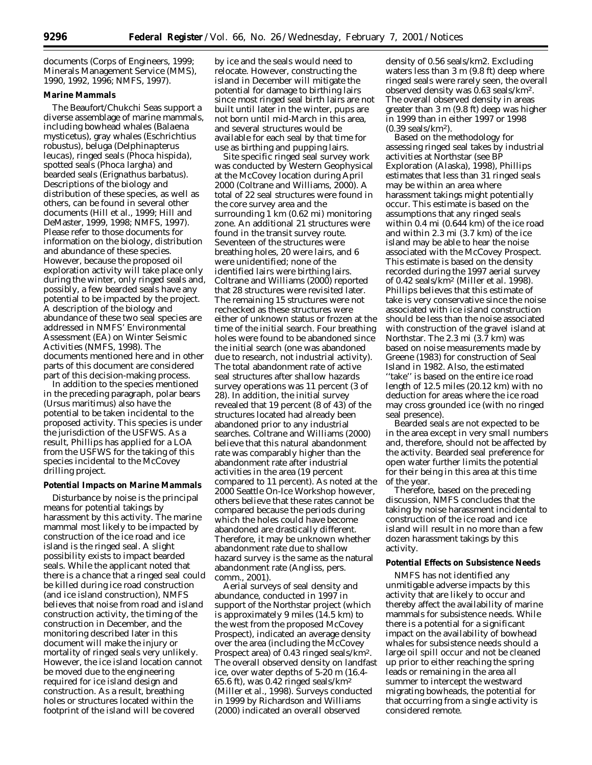documents (Corps of Engineers, 1999; Minerals Management Service (MMS), 1990, 1992, 1996; NMFS, 1997).

## **Marine Mammals**

The Beaufort/Chukchi Seas support a diverse assemblage of marine mammals, including bowhead whales (*Balaena mysticetus*), gray whales (*Eschrichtius robustus*), beluga (*Delphinapterus leucas*), ringed seals (*Phoca hispida*), spotted seals (*Phoca largha*) and bearded seals (*Erignathus barbatus*). Descriptions of the biology and distribution of these species, as well as others, can be found in several other documents (Hill *et al.*, 1999; Hill and DeMaster, 1999, 1998; NMFS, 1997). Please refer to those documents for information on the biology, distribution and abundance of these species. However, because the proposed oil exploration activity will take place only during the winter, only ringed seals and, possibly, a few bearded seals have any potential to be impacted by the project. A description of the biology and abundance of these two seal species are addressed in NMFS' Environmental Assessment (EA) on Winter Seismic Activities (NMFS, 1998). The documents mentioned here and in other parts of this document are considered part of this decision-making process.

In addition to the species mentioned in the preceding paragraph, polar bears (Ursus maritimus) also have the potential to be taken incidental to the proposed activity. This species is under the jurisdiction of the USFWS. As a result, Phillips has applied for a LOA from the USFWS for the taking of this species incidental to the McCovey drilling project.

### **Potential Impacts on Marine Mammals**

Disturbance by noise is the principal means for potential takings by harassment by this activity. The marine mammal most likely to be impacted by construction of the ice road and ice island is the ringed seal. A slight possibility exists to impact bearded seals. While the applicant noted that there is a chance that a ringed seal could be killed during ice road construction (and ice island construction), NMFS believes that noise from road and island construction activity, the timing of the construction in December, and the monitoring described later in this document will make the injury or mortality of ringed seals very unlikely. However, the ice island location cannot be moved due to the engineering required for ice island design and construction. As a result, breathing holes or structures located within the footprint of the island will be covered

by ice and the seals would need to relocate. However, constructing the island in December will mitigate the potential for damage to birthing lairs since most ringed seal birth lairs are not built until later in the winter, pups are not born until mid-March in this area, and several structures would be available for each seal by that time for use as birthing and pupping lairs.

Site specific ringed seal survey work was conducted by Western Geophysical at the McCovey location during April 2000 (Coltrane and Williams, 2000). A total of 22 seal structures were found in the core survey area and the surrounding 1 km (0.62 mi) monitoring zone. An additional 21 structures were found in the transit survey route. Seventeen of the structures were breathing holes, 20 were lairs, and 6 were unidentified; none of the identified lairs were birthing lairs. Coltrane and Williams (2000) reported that 28 structures were revisited later. The remaining 15 structures were not rechecked as these structures were either of unknown status or frozen at the time of the initial search. Four breathing holes were found to be abandoned since the initial search (one was abandoned due to research, not industrial activity). The total abandonment rate of active seal structures after shallow hazards survey operations was 11 percent (3 of 28). In addition, the initial survey revealed that 19 percent (8 of 43) of the structures located had already been abandoned prior to any industrial searches. Coltrane and Williams (2000) believe that this natural abandonment rate was comparably higher than the abandonment rate after industrial activities in the area (19 percent compared to 11 percent). As noted at the 2000 Seattle On-Ice Workshop however, others believe that these rates cannot be compared because the periods during which the holes could have become abandoned are drastically different. Therefore, it may be unknown whether abandonment rate due to shallow hazard survey is the same as the natural abandonment rate (Angliss, pers. comm., 2001).

Aerial surveys of seal density and abundance, conducted in 1997 in support of the Northstar project (which is approximately 9 miles (14.5 km) to the west from the proposed McCovey Prospect), indicated an average density over the area (including the McCovey Prospect area) of 0.43 ringed seals/km2. The overall observed density on landfast ice, over water depths of 5-20 m (16.4- 65.6 ft), was 0.42 ringed seals/km2 (Miller *et al.*, 1998). Surveys conducted in 1999 by Richardson and Williams (2000) indicated an overall observed

density of 0.56 seals/km2. Excluding waters less than 3 m (9.8 ft) deep where ringed seals were rarely seen, the overall observed density was 0.63 seals/km2. The overall observed density in areas greater than 3 m (9.8 ft) deep was higher in 1999 than in either 1997 or 1998 (0.39 seals/km2).

Based on the methodology for assessing ringed seal takes by industrial activities at Northstar (see BP Exploration (Alaska), 1998), Phillips estimates that less than 31 ringed seals may be within an area where harassment takings might potentially occur. This estimate is based on the assumptions that any ringed seals within 0.4 mi (0.644 km) of the ice road and within 2.3 mi (3.7 km) of the ice island may be able to hear the noise associated with the McCovey Prospect. This estimate is based on the density recorded during the 1997 aerial survey of 0.42 seals/km2 (Miller *et al.* 1998). Phillips believes that this estimate of take is very conservative since the noise associated with ice island construction should be less than the noise associated with construction of the gravel island at Northstar. The 2.3 mi (3.7 km) was based on noise measurements made by Greene (1983) for construction of Seal Island in 1982. Also, the estimated ''take'' is based on the entire ice road length of 12.5 miles (20.12 km) with no deduction for areas where the ice road may cross grounded ice (with no ringed seal presence).

Bearded seals are not expected to be in the area except in very small numbers and, therefore, should not be affected by the activity. Bearded seal preference for open water further limits the potential for their being in this area at this time of the year.

Therefore, based on the preceding discussion, NMFS concludes that the taking by noise harassment incidental to construction of the ice road and ice island will result in no more than a few dozen harassment takings by this activity.

### **Potential Effects on Subsistence Needs**

NMFS has not identified any unmitigable adverse impacts by this activity that are likely to occur and thereby affect the availability of marine mammals for subsistence needs. While there is a potential for a significant impact on the availability of bowhead whales for subsistence needs should a large oil spill occur and not be cleaned up prior to either reaching the spring leads or remaining in the area all summer to intercept the westward migrating bowheads, the potential for that occurring from a single activity is considered remote.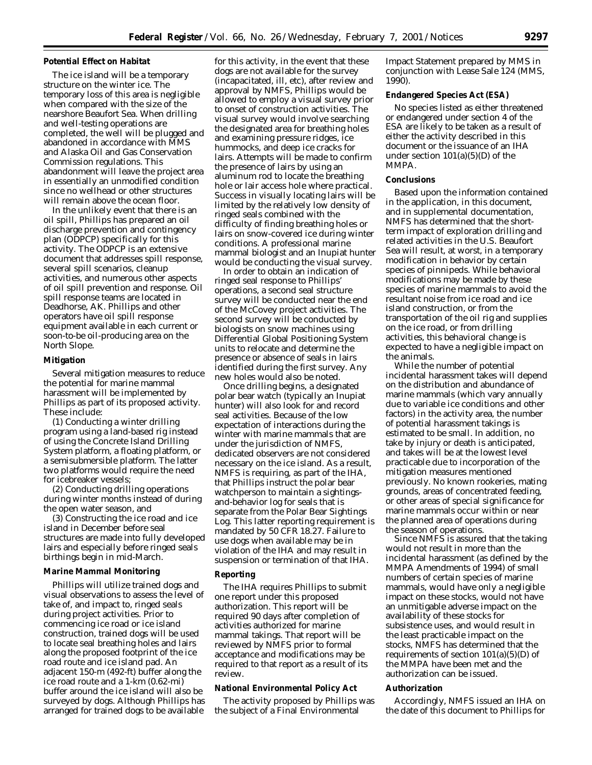#### **Potential Effect on Habitat**

The ice island will be a temporary structure on the winter ice. The temporary loss of this area is negligible when compared with the size of the nearshore Beaufort Sea. When drilling and well-testing operations are completed, the well will be plugged and abandoned in accordance with MMS and Alaska Oil and Gas Conservation Commission regulations. This abandonment will leave the project area in essentially an unmodified condition since no wellhead or other structures will remain above the ocean floor.

In the unlikely event that there is an oil spill, Phillips has prepared an oil discharge prevention and contingency plan (ODPCP) specifically for this activity. The ODPCP is an extensive document that addresses spill response, several spill scenarios, cleanup activities, and numerous other aspects of oil spill prevention and response. Oil spill response teams are located in Deadhorse, AK. Phillips and other operators have oil spill response equipment available in each current or soon-to-be oil-producing area on the North Slope.

## **Mitigation**

Several mitigation measures to reduce the potential for marine mammal harassment will be implemented by Phillips as part of its proposed activity. These include:

(1) Conducting a winter drilling program using a land-based rig instead of using the Concrete Island Drilling System platform, a floating platform, or a semisubmersible platform. The latter two platforms would require the need for icebreaker vessels;

(2) Conducting drilling operations during winter months instead of during the open water season, and

(3) Constructing the ice road and ice island in December before seal structures are made into fully developed lairs and especially before ringed seals birthings begin in mid-March.

#### **Marine Mammal Monitoring**

Phillips will utilize trained dogs and visual observations to assess the level of take of, and impact to, ringed seals during project activities. Prior to commencing ice road or ice island construction, trained dogs will be used to locate seal breathing holes and lairs along the proposed footprint of the ice road route and ice island pad. An adjacent 150-m (492-ft) buffer along the ice road route and a 1-km (0.62-mi) buffer around the ice island will also be surveyed by dogs. Although Phillips has arranged for trained dogs to be available

for this activity, in the event that these dogs are not available for the survey (incapacitated, ill, etc), after review and approval by NMFS, Phillips would be allowed to employ a visual survey prior to onset of construction activities. The visual survey would involve searching the designated area for breathing holes and examining pressure ridges, ice hummocks, and deep ice cracks for lairs. Attempts will be made to confirm the presence of lairs by using an aluminum rod to locate the breathing hole or lair access hole where practical. Success in visually locating lairs will be limited by the relatively low density of ringed seals combined with the difficulty of finding breathing holes or lairs on snow-covered ice during winter conditions. A professional marine mammal biologist and an Inupiat hunter would be conducting the visual survey.

In order to obtain an indication of ringed seal response to Phillips' operations, a second seal structure survey will be conducted near the end of the McCovey project activities. The second survey will be conducted by biologists on snow machines using Differential Global Positioning System units to relocate and determine the presence or absence of seals in lairs identified during the first survey. Any new holes would also be noted.

Once drilling begins, a designated polar bear watch (typically an Inupiat hunter) will also look for and record seal activities. Because of the low expectation of interactions during the winter with marine mammals that are under the jurisdiction of NMFS, dedicated observers are not considered necessary on the ice island. As a result, NMFS is requiring, as part of the IHA, that Phillips instruct the polar bear watchperson to maintain a sightingsand-behavior log for seals that is separate from the Polar Bear Sightings Log. This latter reporting requirement is mandated by 50 CFR 18.27. Failure to use dogs when available may be in violation of the IHA and may result in suspension or termination of that IHA.

#### **Reporting**

The IHA requires Phillips to submit one report under this proposed authorization. This report will be required 90 days after completion of activities authorized for marine mammal takings. That report will be reviewed by NMFS prior to formal acceptance and modifications may be required to that report as a result of its review.

## **National Environmental Policy Act**

The activity proposed by Phillips was the subject of a Final Environmental

Impact Statement prepared by MMS in conjunction with Lease Sale 124 (MMS, 1990).

#### **Endangered Species Act (ESA)**

No species listed as either threatened or endangered under section 4 of the ESA are likely to be taken as a result of either the activity described in this document or the issuance of an IHA under section  $101(a)(5)(D)$  of the MMPA.

#### **Conclusions**

Based upon the information contained in the application, in this document, and in supplemental documentation, NMFS has determined that the shortterm impact of exploration drilling and related activities in the U.S. Beaufort Sea will result, at worst, in a temporary modification in behavior by certain species of pinnipeds. While behavioral modifications may be made by these species of marine mammals to avoid the resultant noise from ice road and ice island construction, or from the transportation of the oil rig and supplies on the ice road, or from drilling activities, this behavioral change is expected to have a negligible impact on the animals.

While the number of potential incidental harassment takes will depend on the distribution and abundance of marine mammals (which vary annually due to variable ice conditions and other factors) in the activity area, the number of potential harassment takings is estimated to be small. In addition, no take by injury or death is anticipated, and takes will be at the lowest level practicable due to incorporation of the mitigation measures mentioned previously. No known rookeries, mating grounds, areas of concentrated feeding, or other areas of special significance for marine mammals occur within or near the planned area of operations during the season of operations.

Since NMFS is assured that the taking would not result in more than the incidental harassment (as defined by the MMPA Amendments of 1994) of small numbers of certain species of marine mammals, would have only a negligible impact on these stocks, would not have an unmitigable adverse impact on the availability of these stocks for subsistence uses, and would result in the least practicable impact on the stocks, NMFS has determined that the requirements of section  $101(a)(5)(D)$  of the MMPA have been met and the authorization can be issued.

### **Authorization**

Accordingly, NMFS issued an IHA on the date of this document to Phillips for